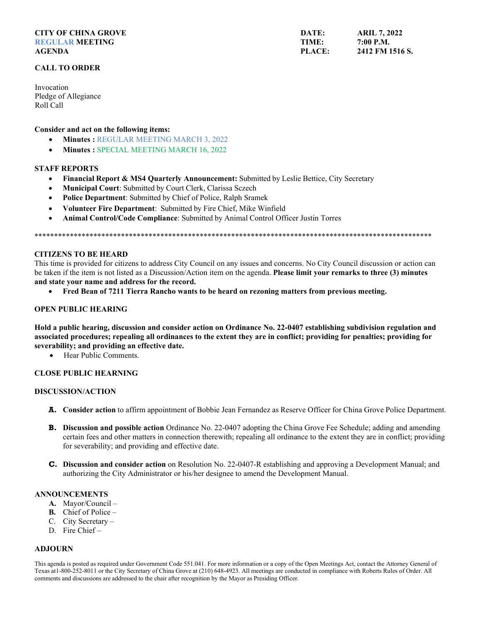#### **CITY OF CHINA GROVE REGULAR MEETING AGENDA**

## **CALL TO ORDER**

Invocation Pledge of Allegiance Roll Call

Consider and act on the following items:

- Minutes: REGULAR MEETING MARCH 3, 2022
- $\bullet$ **Minutes: SPECIAL MEETING MARCH 16, 2022**

# **STAFF REPORTS**

- Financial Report & MS4 Quarterly Announcement: Submitted by Leslie Bettice, City Secretary  $\bullet$
- Municipal Court: Submitted by Court Clerk, Clarissa Sczech  $\bullet$
- Police Department: Submitted by Chief of Police, Ralph Sramek  $\bullet$
- Volunteer Fire Department: Submitted by Fire Chief, Mike Winfield  $\bullet$
- **Animal Control/Code Compliance:** Submitted by Animal Control Officer Justin Torres

## **CITIZENS TO BE HEARD**

This time is provided for citizens to address City Council on any issues and concerns. No City Council discussion or action can be taken if the item is not listed as a Discussion/Action item on the agenda. Please limit your remarks to three (3) minutes and state your name and address for the record.

Fred Bean of 7211 Tierra Rancho wants to be heard on rezoning matters from previous meeting.

## **OPEN PUBLIC HEARING**

Hold a public hearing, discussion and consider action on Ordinance No. 22-0407 establishing subdivision regulation and associated procedures; repealing all ordinances to the extent they are in conflict; providing for penalties; providing for severability; and providing an effective date.

Hear Public Comments.  $\bullet$ 

## **CLOSE PUBLIC HEARNING**

### **DISCUSSION/ACTION**

- **A.** Consider action to affirm appointment of Bobbie Jean Fernandez as Reserve Officer for China Grove Police Department.
- **B.** Discussion and possible action Ordinance No. 22-0407 adopting the China Grove Fee Schedule; adding and amending certain fees and other matters in connection therewith; repealing all ordinance to the extent they are in conflict; providing for severability; and providing and effective date.
- C. Discussion and consider action on Resolution No. 22-0407-R establishing and approving a Development Manual; and authorizing the City Administrator or his/her designee to amend the Development Manual.

#### **ANNOUNCEMENTS**

- A. Mayor/Council -
- **B.** Chief of Police  $-$
- C. City Secretary -
- D. Fire Chief -

# **ADJOURN**

This agenda is posted as required under Government Code 551.041. For more information or a copy of the Open Meetings Act, contact the Attorney General of Texas at 1-800-252-8011 or the City Secretary of China Grove at (210) 648-4923. All meetings are conducted in compliance with Roberts Rules of Order. All comments and discussions are addressed to the chair after recognition by the Mayor as Presiding Officer.